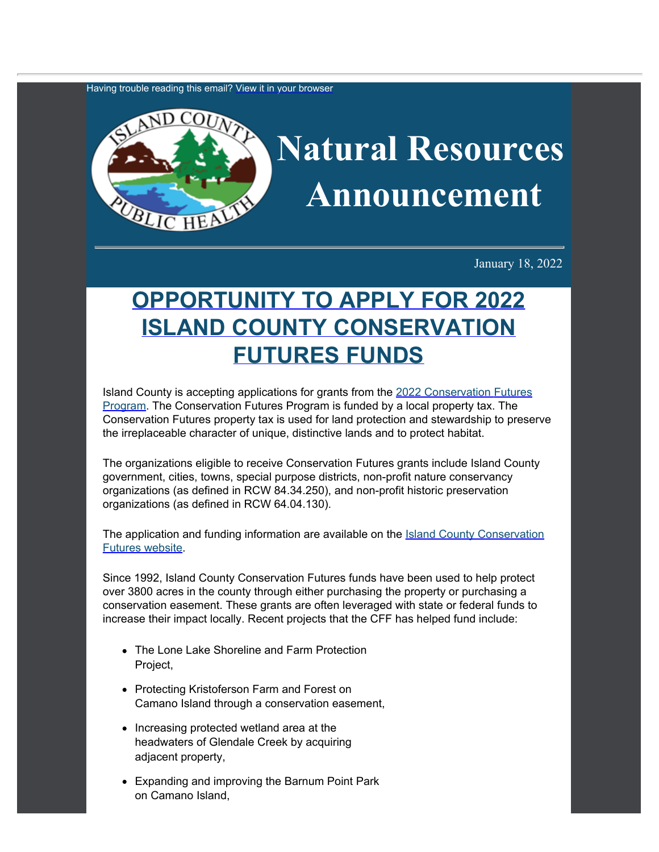Having trouble reading this email? [View](https://content.govdelivery.com/accounts/WACOISLAND/bulletins/3067964) [it in your browser](https://content.govdelivery.com/accounts/WACOISLAND/bulletins/3067964)



January 18, 2022

## **[OPPORTUNITY](https://www.islandcountywa.gov/Health/DNR/Pages/cff.aspx?utm_content=&utm_medium=email&utm_name=&utm_source=govdelivery&utm_term=) [TO APPLY FOR 2022](https://www.islandcountywa.gov/Health/DNR/Pages/cff.aspx?utm_content=&utm_medium=email&utm_name=&utm_source=govdelivery&utm_term=) [ISLAND COUNTY CONSERVATION](https://www.islandcountywa.gov/Health/DNR/Pages/cff.aspx?utm_content=&utm_medium=email&utm_name=&utm_source=govdelivery&utm_term=) [FUTURES FUNDS](https://www.islandcountywa.gov/Health/DNR/Pages/cff.aspx?utm_content=&utm_medium=email&utm_name=&utm_source=govdelivery&utm_term=)**

Island County is accepting applications for grants from the [2022 Conservation](https://www.islandcountywa.gov/Health/DNR/Pages/cff.aspx?utm_content=&utm_medium=email&utm_name=&utm_source=govdelivery&utm_term=) [Futures](https://www.islandcountywa.gov/Health/DNR/Pages/cff.aspx?utm_content=&utm_medium=email&utm_name=&utm_source=govdelivery&utm_term=) [Program.](https://www.islandcountywa.gov/Health/DNR/Pages/cff.aspx?utm_content=&utm_medium=email&utm_name=&utm_source=govdelivery&utm_term=) The Conservation Futures Program is funded by a local property tax. The Conservation Futures property tax is used for land protection and stewardship to preserve the irreplaceable character of unique, distinctive lands and to protect habitat.

The organizations eligible to receive Conservation Futures grants include Island County government, cities, towns, special purpose districts, non-profit nature conservancy organizations (as defined in RCW 84.34.250), and non-profit historic preservation organizations (as defined in RCW 64.04.130).

The application and funding information are available on the **[Island County](https://www.islandcountywa.gov/Health/DNR/Pages/cff.aspx?utm_content=&utm_medium=email&utm_name=&utm_source=govdelivery&utm_term=) [Conservation](https://www.islandcountywa.gov/Health/DNR/Pages/cff.aspx?utm_content=&utm_medium=email&utm_name=&utm_source=govdelivery&utm_term=)** [Futures website.](https://www.islandcountywa.gov/Health/DNR/Pages/cff.aspx?utm_content=&utm_medium=email&utm_name=&utm_source=govdelivery&utm_term=)

Since 1992, Island County Conservation Futures funds have been used to help protect over 3800 acres in the county through either purchasing the property or purchasing a conservation easement. These grants are often leveraged with state or federal funds to increase their impact locally. Recent projects that the CFF has helped fund include:

- The Lone Lake Shoreline and Farm Protection Project,
- Protecting Kristoferson Farm and Forest on Camano Island through a conservation easement,
- Increasing protected wetland area at the headwaters of Glendale Creek by acquiring adjacent property,
- Expanding and improving the Barnum Point Park on Camano Island,